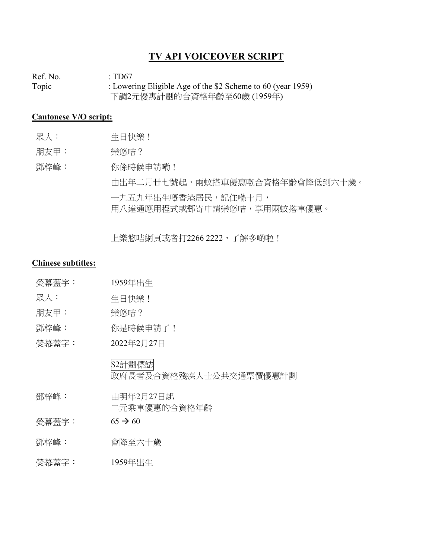## **TV API VOICEOVER SCRIPT**

Ref. No.  $\qquad \qquad : T D67$ Topic : Lowering Eligible Age of the \$2 Scheme to 60 (year 1959) 下調2元優惠計劃的合資格年齡至60歲 (1959年)

## **Cantonese V/O script:**

- 眾人: 生日快樂!
- 朋友甲: 樂悠咭?

鄧梓峰: 你係時候申請嘞! 由出年二月廿七號起,兩蚊搭車優惠嘅合資格年齡會降低到六十歲。 一九五九年出生嘅香港居民,記住喺十月, 用八達通應用程式或郵寄申請樂悠咭,享用兩蚊搭車優惠。

上樂悠咭網頁或者打2266 2222, 了解多啲啦!

## **Chinese subtitles:**

- 熒幕蓋字: 1959年出生
- 眾人: 生日快樂!
- 朋友甲: 樂悠咭?
- 鄧梓峰: 你是時候申請了!
- 熒幕蓋字: 2022年2月27日

\$2計劃標誌

政府長者及合資格殘疾人士公共交通票價優惠計劃

- 鄧梓峰: 由明年2月27日起 二元乘車優惠的合資格年齡
- $<sup><sup><sup><</sup></sup></sup>$ 娄幕蓋字: 65 → 60</sup>
- 鄧梓峰: 會降至六十歲
- 熒幕蓋字: 1959年出生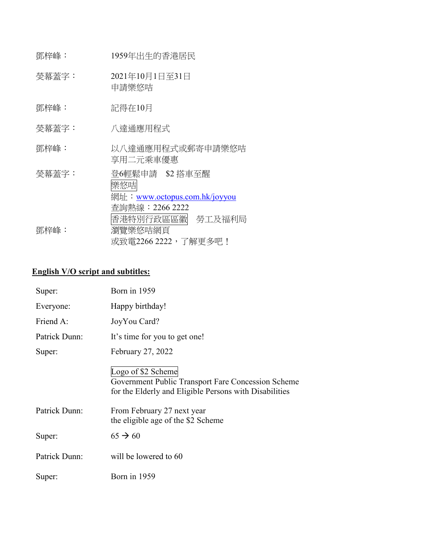| 鄧梓峰:  | 1959年出生的香港居民                                                                                    |
|-------|-------------------------------------------------------------------------------------------------|
| 熒幕蓋字: | 2021年10月1日至31日<br>申請樂悠咭                                                                         |
| 鄧梓峰:  | 記得在10月                                                                                          |
| 熒幕蓋字: | 八達通應用程式                                                                                         |
| 鄧梓峰:  | 以八達通應用程式或郵寄申請樂悠咭<br>享用二元乘車優惠                                                                    |
| 熒幕蓋字: | 登6輕鬆申請 \$2 搭車至醒<br>樂悠咭<br>網址:www.octopus.com.hk/joyyou<br>香詢熱線:2266 2222<br>香港特別行政區區徽<br>勞工及福利局 |
| 鄧梓峰:  | 瀏覽樂悠咭網頁<br>或致電2266 2222,了解更多吧!                                                                  |

## **English V/O script and subtitles:**

| Super:        | Born in 1959                                                                                                                       |
|---------------|------------------------------------------------------------------------------------------------------------------------------------|
| Everyone:     | Happy birthday!                                                                                                                    |
| Friend A:     | JoyYou Card?                                                                                                                       |
| Patrick Dunn: | It's time for you to get one!                                                                                                      |
| Super:        | February 27, 2022                                                                                                                  |
|               | Logo of \$2 Scheme<br>Government Public Transport Fare Concession Scheme<br>for the Elderly and Eligible Persons with Disabilities |
| Patrick Dunn: | From February 27 next year<br>the eligible age of the \$2 Scheme                                                                   |
| Super:        | $65 \rightarrow 60$                                                                                                                |
| Patrick Dunn: | will be lowered to 60                                                                                                              |
| Super:        | Born in 1959                                                                                                                       |